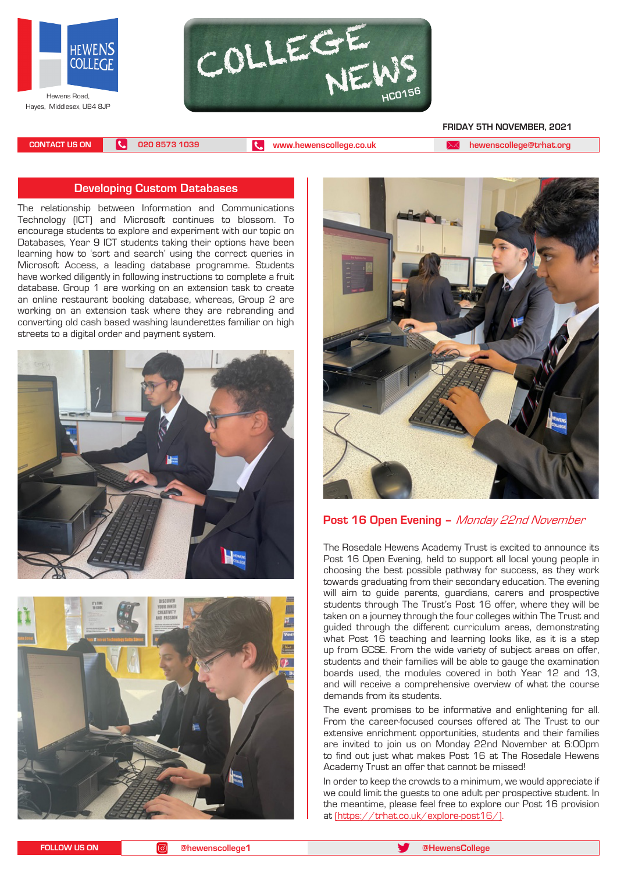



 **FRIDAY 5TH NOVEMBER, 2021**

**CONTACT US ON 020 8573 1039 [www.hewenscollege.co.uk](http://www.hewenscollege.co.uk) [hewenscollege@trhat.org](mailto:hewenscollege@trhat.org)**

## **Developing Custom Databases**

The relationship between Information and Communications Technology (ICT) and Microsoft continues to blossom. To encourage students to explore and experiment with our topic on Databases, Year 9 ICT students taking their options have been learning how to 'sort and search' using the correct queries in Microsoft Access, a leading database programme. Students have worked diligently in following instructions to complete a fruit database. Group 1 are working on an extension task to create an online restaurant booking database, whereas, Group 2 are working on an extension task where they are rebranding and converting old cash based washing launderettes familiar on high streets to a digital order and payment system.







# **Post 16 Open Evening –** Monday 22nd November

The Rosedale Hewens Academy Trust is excited to announce its Post 16 Open Evening, held to support all local young people in choosing the best possible pathway for success, as they work towards graduating from their secondary education. The evening will aim to guide parents, guardians, carers and prospective students through The Trust's Post 16 offer, where they will be taken on a journey through the four colleges within The Trust and guided through the different curriculum areas, demonstrating what Post 16 teaching and learning looks like, as it is a step up from GCSE. From the wide variety of subject areas on offer, students and their families will be able to gauge the examination boards used, the modules covered in both Year 12 and 13, and will receive a comprehensive overview of what the course demands from its students.

The event promises to be informative and enlightening for all. From the career-focused courses offered at The Trust to our extensive enrichment opportunities, students and their families are invited to join us on Monday 22nd November at 6:00pm to find out just what makes Post 16 at The Rosedale Hewens Academy Trust an offer that cannot be missed!

In order to keep the crowds to a minimum, we would appreciate if we could limit the guests to one adult per prospective student. In the meantime, please feel free to explore our Post 16 provision at ([https://trhat.co.uk/explore-post16/\).](https://trhat.co.uk/explore-post16/)